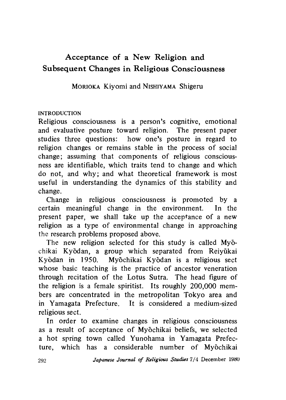# Acceptance of a New Religion and **Subsequent Changes in Religious Consciousness**

MORIOKA Kiyomi and NISHIYAMA Shigeru

## INTRODUCTION

Religious consciousness is a person's cognitive, emotional and evaluative posture toward religion. The present paper studies three questions: how one's posture in regard to religion changes or remains stable in the process of social change; assuming that components of religious consciousness are identifiable, which traits tend to change and which do not, and why; and what theoretical framework is most useful in understanding the dynamics of this stability and change.

Change in religious consciousness is promoted by a certain meaningful change in the environment. In the present paper, we shall take up the acceptance of a new religion as a type of environmental change in approaching the research problems proposed above.

The new religion selected for this study is called Myochikai Kyodan, a group which separated from Reiyukai Kyodan in 1950. Myochikai Kyodan is a religious sect whose basic teaching is the practice of ancestor veneration through recitation of the Lotus Sutra. The head figure of the religion is a female spiritist. Its roughly 200,000 members are concentrated in the metropolitan Tokyo area and in Yamagata Prefecture. It is considered a medium-sized religious sect.

In order to examine changes in religious consciousness as a result of acceptance of Myochikai beliefs, we selected a hot spring town called Yunohama in Yamagata Prefecture, which has a considerable number of Myochikai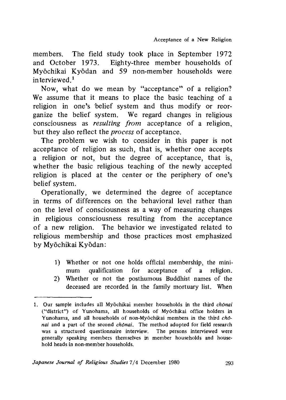members. The field study took place in September 1972 and October 1973. Eighty-three member households of Myochikai Kyodan and 59 non-member households were interviewed.1

Now, what do we mean by "acceptance" of a religion? We assume that it means to place the basic teaching of a religion in one's belief system and thus modify or reorganize the belief system. We regard changes in religious consciousness as *resulting from* acceptance of a religion, but they also reflect the *process* of acceptance.

The problem we wish to consider in this paper is not acceptance of religion as such, that is, whether one accepts a religion or not, but the degree of acceptance, that is, whether the basic religious teaching of the newly accepted religion is placed at the center or the periphery of one's belief system.

Operationally, we determined the degree of acceptance in terms of differences on the behavioral level rather than on the level of consciousness as a way of measuring changes in religious consciousness resulting from the acceptance of a new religion. The behavior we investigated related to religious membership and those practices most emphasized by Myochikai Kyodan:

- 1) Whether or not one holds official membership, the minimum qualification for acceptance of a religion.
- 2) Whether or not the posthumous Buddhist names of the deceased are recorded in the family mortuary list. When

<sup>1 .</sup> Our sample includes all Myochikai member households in the third *chonai* ("district") of Yunohama, all households of Myochikai office holders in Yunohama, and all households of non-Myöchikai members in the third *chonai* and a part of the second *chdnai.* The method adopted for field research was a structured questionnaire interview. The persons interviewed were generally speaking members themselves in member households and household heads in non-member households.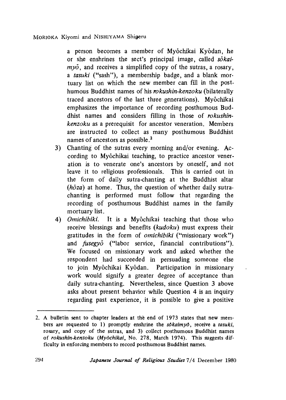a person becomes a member of Myochikai Kyodan, he or she enshrines the sect's principal image, called *sokaimyd,* and receives a simplified copy of the sutras, a rosary, a *tasuki* ("sash"), a membership badge, and a blank mortuary list on which the new member can fill in the posthumous Buddhist names of his *rokushin-kenzoku* (bilaterally traced ancestors of the last three generations). Myochikai emphasizes the importance of recording posthumous Buddhist names and considers filling in those of *rokushinkenzoku* as a prerequisit for ancestor veneration. Members are instructed to collect as many posthumous Buddhist names of ancestors as possible.<sup>2</sup>

- 3) Chanting of the sutras every morning and/or evening. According to Myōchikai teaching, to practice ancestor veneration is to venerate one's ancestors by oneself, and not leave it to religious professionals. This is carried out in the form of daily sutra-chanting at the Buddhist altar *(hōza)* at home. Thus, the question of whether daily sutrachanting is performed must follow that regarding the recording of posthumous Buddhist names in the family mortuary list.
- 4) *Omichibiki.* It is a Myochikai teaching that those who receive blessings and benefits *(kudoku)* must express their gratitudes in the form of *omichibiki* ("missionary work") and *fusegyd* ("labor service, financial contributions"). We focused on missionary work and asked whether the respondent had succeeded in persuading someone else to join Myochikai Kyodan. Participation in missionary work would signify a greater degree of acceptance than daily sutra-chanting. Nevertheless, since Question 3 above asks about present behavior while Question 4 is an inquiry regarding past experience, it is possible to give a positive

<sup>2.</sup> A bulletin sent to chapter leaders at the end of 1973 states that new members are requested to 1) promptly enshrine the *sokaimyo*, receive a *tasuki*, rosary, and copy of the sutras, and 3) collect posthumous Buddhist names of *rokushin-kenzoku {Myochikai,* No. 278, March 1974). This suggests difficulty in enforcing members to record posthumous Buddhist names.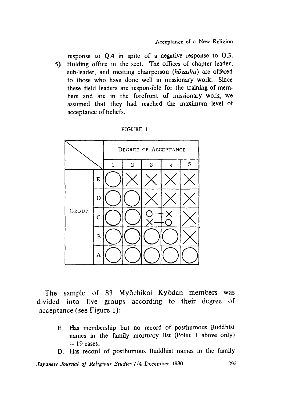response to Q.4 in spite of a negative response to Q.3. 5) Holding office in the sect. The offices of chapter leader, sub-leader, and meeting chairperson *(hdzashu)* are offered to those who have done well in missionary work. Since these field leaders are responsible for the training of members and are in the forefront of missionary work, we assumed that they had reached the maximum level of acceptance of beliefs.



#### FIGURE 1

The sample of 83 Myōchikai Kyōdan members was divided into five groups according to their degree of acceptance (see Figure 1):

- E. Has membership but no record of posthumous Buddhist names in the family mortuary list (Point 1 above only)  $-19$  cases.
- D. Has record of posthumous Buddhist names in the family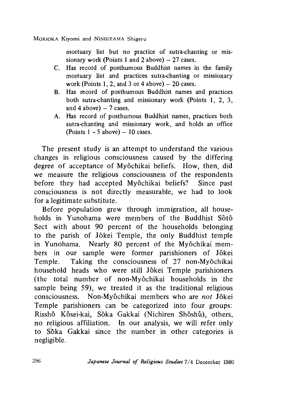MORIOKA Kiyomi and NISHIYAMA Shigeru

mortuary list but no practice of sutra-chanting or missionary work (Points 1 and 2 above)  $-27$  cases.

- C. Has record of posthumous Buddhist names in the family mortuary list and practices sutra-chanting or missionary work (Points 1, 2, and 3 or 4 above)  $-20$  cases.
- B. Has record of posthumous Buddhist names and practices both sutra-chanting and missionary work (Points 1, 2, 3, and 4 above)  $-7$  cases.
- A. Has record of posthumous Buddhist names, practices both sutra-chanting and missionary work, and holds an office (Points  $1 - 5$  above)  $-10$  cases.

The present study is an attempt to understand the various changes in religious consciousness caused by the differing degree of acceptance of Myochikai beliefs. How, then, did we measure the religious consciousness of the respondents before they had accepted Myochikai beliefs? Since past consciousness is not directly measurable, we had to look for a legitimate substitute.

Before population grew through immigration, all households in Yunohama were members of the Buddhist Soto Sect with about 90 percent of the households belonging to the parish of Jokei Temple, the only Buddhist temple in Yunohama. Nearly 80 percent of the Myochikai members in our sample were former parishioners of Jokei Temple. Taking the consciousness of 27 non-Myōchikai household heads who were still Jokei Temple parishioners (the total number of non-Myochikai households in the sample being 59), we treated it as the traditional religious consciousness. Non-Myochikai members who are *not* Jokei Temple parishioners can be categorized into four groups: Rissho Kosei-kai, Soka Gakkai (Nichiren Shoshu), others, no religious affiliation. In our analysis, we will refer only to Soka Gakkai since the number in other categories is negligible.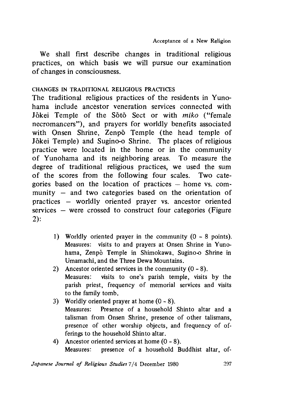We shall first describe changes in traditional religious practices, on which basis we will pursue our examination of changes in consciousness.

### CHANGES IN TRADITIONAL RELIGIOUS PRACTICES

The traditional religious practices of the residents in Yunohama include ancestor veneration services connected with Jokei Temple of the Soto Sect or with *miko* ("female necromancers"), and prayers for worldly benefits associated with Onsen Shrine, Zenpo Temple (the head temple of Jokei Temple) and Sugino-o Shrine. The places of religious practice were located in the home or in the community of Yunohama and its neighboring areas. To measure the degree of traditional religious practices, we used the sum of the scores from the following four scales. Two categories based on the location of practices home vs. community — and two categories based on the orientation of practices — worldly oriented prayer vs. ancestor oriented services — were crossed to construct four categories (Figure 2):

- 1) Worldly oriented prayer in the community  $(0 8 \text{ points})$ . Measures: visits to and prayers at Onsen Shrine in Yunohama, Zenpo Temple in Shimokawa, Sugino-o Shrine in Umamachi, and the Three Dewa Mountains.
- 2) Ancestor oriented services in the community  $(0 8)$ . Measures: visits to one's parish temple, visits by the parish priest, frequency of memorial services and visits to the family tomb.
- 3) Worldly oriented prayer at home  $(0 8)$ , Measures: Presence of a household Shinto altar and a talisman from Onsen Shrine, presence of other talismans, presence of other worship objects, and frequency of offerings to the household Shinto altar.
- 4) Ancestor oriented services at home (0 8). Measures: presence of a household Buddhist altar, of-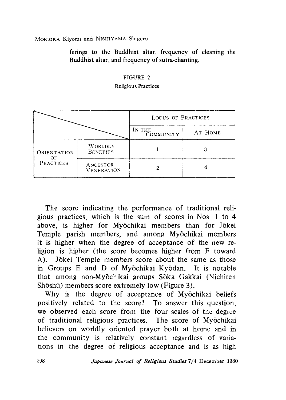MORIOKA Kiyomi and NISHIYAMA Shigeru

ferings to the Buddhist altar, frequency of cleaning the Buddhist altar, and frequency of sutra-chanting.

# FIGURE 2

#### Religious Practices

|                          |                               | LOCUS OF PRACTICES |         |  |  |
|--------------------------|-------------------------------|--------------------|---------|--|--|
|                          |                               | IN THE COMMUNITY   | AT HOME |  |  |
| ORIENTATION<br>PRACTICES | WORLDLY<br><b>BENEFITS</b>    |                    |         |  |  |
|                          | ANCESTOR<br><b>VENERATION</b> |                    |         |  |  |

The score indicating the performance of traditional religious practices, which is the sum of scores in Nos. 1 to 4 above, is higher for Myōchikai members than for Jōkei Temple parish members, and among Myōchikai members it is higher when the degree of acceptance of the new religion is higher (the score becomes higher from E toward A). Jokei Temple members score about the same as those in Groups E and D of Myochikai Kyodan. It is notable that among non-Myochikai groups Soka Gakkai (Nichiren Shōshū) members score extremely low (Figure 3).

Why is the degree of acceptance of Myōchikai beliefs positively related to the score? To answer this question, we observed each score from the four scales of the degree of traditional religious practices. The score of Myochikai believers on worldly, oriented prayer both at home and in the community is relatively constant regardless of variations in the degree of religious acceptance and is as high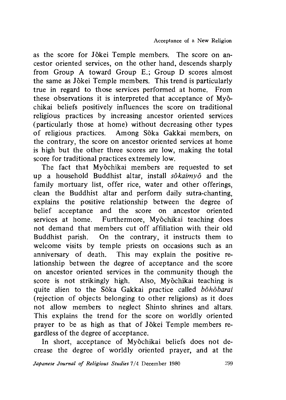as the score for Jokei Temple members. The score on ancestor oriented services, on the other hand, descends sharply from Group A toward Group E,; Group D scores almost the same as Jokei Temple members. This trend is particularly true in regard to those services performed at home. From these observations it is interpreted that acceptance of Myochikai beliefs positively influences the score on traditional religious practices by increasing ancestor oriented services (particularly those at home) without decreasing other types of religious practices. Among Soka Gakkai members, on the contrary, the score on ancestor oriented services at home is high but the other three scores are low, making the total score for traditional practices extremely low.

The fact that Myōchikai members are requested to set up a household Buddhist altar, install *sdkaimyd* and the family mortuary list, offer rice, water and other offerings, clean the Buddhist altar and perform daily sutra-chanting, explains the positive relationship between the degree of belief acceptance and the score on ancestor oriented services at home. Furthermore, Myochikai teaching does not demand that members cut off affiliation with their old Buddhist parish. On the contrary, it instructs them to welcome visits by temple priests on occasions such as an anniversary of death. This may explain the positive relationship between the degree of acceptance and the score on ancestor oriented services in the community though the score is not strikingly high. Also, Myōchikai teaching is quite alien to the Soka Gakkai practice called *bohobarai* (rejection of objects belonging to other religions) as it does not allow members to neglect Shinto shrines and altars. This explains the trend for the score on worldly oriented prayer to be as high as that of Jokei Temple members regardless of the degree of acceptance.

In short, acceptance of Myōchikai beliefs does not decrease the degree of worldly oriented prayer, and at the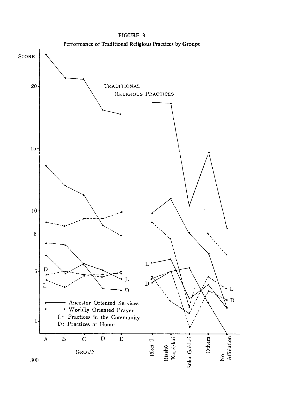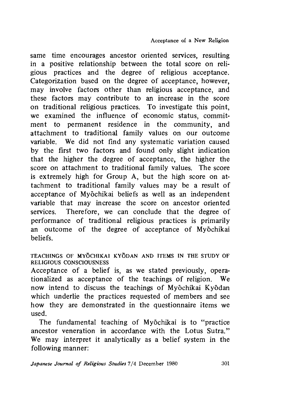same time encourages ancestor oriented services, resulting in a positive relationship between the total score on religious practices and the degree of religious acceptance. Categorization based on the degree of acceptance, however, may involve factors other than religious acceptance, and these factors may contribute to an increase in the score on traditional religious practices. To investigate this point, we examined the influence of economic status, commitment to permanent residence in the community, and attachment to traditional family values on our outcome variable. We did not find any systematic variation caused by the first two factors and found only slight indication that the higher the degree of acceptance, the higher the score on attachment to traditional family values. The score is extremely high for Group A, but the high score on attachment to traditional family values may be a result of acceptance of Myochikai beliefs as well as an independent variable that may increase the score on ancestor oriented services. Therefore, we can conclude that the degree of performance of traditional religious practices is primarily an outcome of the degree of acceptance of Myochikai beliefs.

#### TEACHINGS OF MYOCHIKAI KYODAN AND ITEMS IN THE STUDY OF RELIGIOUS CONSCIOUSNESS

Acceptance of a belief is, as we stated previously, operationalized as acceptance of the teachings of religion. We now intend to discuss the teachings of Myochikai Kyodan which underlie the practices requested of members and see how they are demonstrated in the questionnaire items we used.

The fundamental teaching of Myochikai is to "practice ancestor veneration in accordance with the Lotus Sutra," We may interpret it analytically as a belief system in the following manner: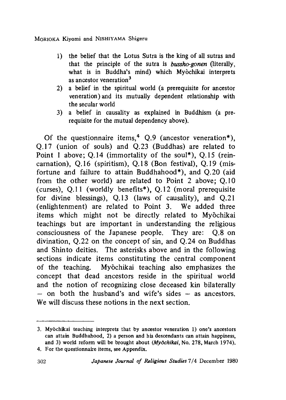MORIOKA Kivomi and NISHIYAMA Shigeru

- 1 ) the belief that the Lotus Sutra is the king of all sutras and that the principle of the sutra is *bussho-gonen* (literally, what is in Buddha's mind) which Myochikai interprets as ancestor veneration<sup>3</sup>
- 2) a belief in the spiritual world (a prerequisite for ancestor veneration) and its mutually dependent relationship with the secular world
- 3) a belief in causality as explained in Buddhism (a prerequisite for the mutual dependency above).

Of the questionnaire items,  $4 \Omega.9$  (ancestor veneration\*), Q.17 (union of souls) and Q.23 (Buddhas) are related to Point 1 above; Q.14 (immortality of the soul\*), Q.15 (reincarnation),  $Q.16$  (spiritism),  $Q.18$  (Bon festival),  $Q.19$  (misfortune and failure to attain Buddhahood\*), and Q.20 (aid from the other world) are related to Point 2 above; Q.10 (curses), Q .l1 (worldly benefits\*), Q.12 (moral prerequisite for divine blessings), Q.13 (laws of causality), and Q.21 (enlightenment) are related to Point 3. We added three items which might not be directly related to Myochikai teachings but are important in understanding the religious consciousness of the Japanese people. They are: Q.8 on divination, Q.22 on the concept of sin, and Q.24 on Buddhas and Shinto deities. The asterisks above and in the following sections indicate items constituting the central component of the teaching. Myochikai teaching also emphasizes the concept that dead ancestors reside in the spiritual world and the notion of recognizing close deceased kin bilaterally  $-$  on both the husband's and wife's sides  $-$  as ancestors. We will discuss these notions in the next section.

<sup>3.</sup> Myōchikai teaching interprets that by ancestor veneration 1) one's ancestors can attain Buddhahood, 2) a person and his descendants can attain happiness, and 3) world reform will be brought about *(Myochikai*, No. 278, March 1974).

<sup>4.</sup> For the questionnaire items, see Appendix.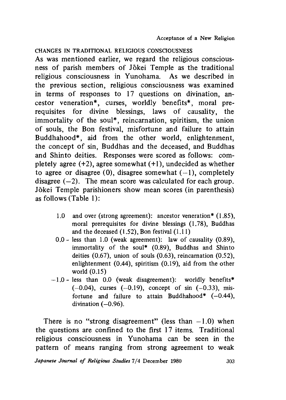CHANGES IN TRADITIONAL RELIGIOUS CONSCIOUSNESS

As was mentioned earlier, we regard the religious consciousness of parish members of Jokei Temple as the traditional religious consciousness in Yunohama. As we described in the previous section, religious consciousness was examined in terms of responses to 17 questions on divination, ancestor veneration\*, curses, worldly benefits\*, moral prerequisites for divine blessings, laws of causality, the immortality of the soul\*, reincarnation, spiritism, the union of souls, the Bon festival, misfortune and failure to attain Buddhahood\*, aid from the other world, enlightenment, the concept of sin, Buddhas and the deceased, and Buddhas and Shinto deities. Responses were scored as follows: completely agree  $(+2)$ , agree somewhat  $(+1)$ , undecided as whether to agree or disagree (0), disagree somewhat  $(-1)$ , completely disagree  $(-2)$ . The mean score was calculated for each group. Jokei Temple parishioners show mean scores (in parenthesis) as follows (Table 1):

- 1.0 and over (strong agreement): ancestor veneration\* (1.85), moral prerequisites for divine blessings (1.78), Buddhas and the deceased  $(1.52)$ , Bon festival  $(1.11)$
- 0.0 less than 1.0 (weak agreement); law of causality (0.89), immortality of the soul\*  $(0.89)$ , Buddhas and Shinto deities  $(0.67)$ , union of souls  $(0.63)$ , reincarnation  $(0.52)$ , enlightenment (0.44), spiritism (0.19), aid from the other world (0.15)
- $-1.0$  less than 0.0 (weak disagreement): worldly benefits\*  $(-0.04)$ , curses  $(-0.19)$ , concept of sin  $(-0.33)$ , misfortune and failure to attain Buddhahood\*  $(-0.44)$ , divination (—0.96).

There is no "strong disagreement" (less than  $-1.0$ ) when the questions are confined to the first 17 items. Traditional religious consciousness in Yunohama can be seen in the pattern of means ranging from strong agreement to weak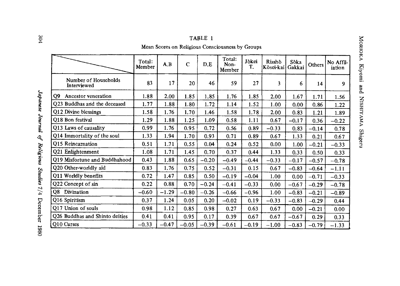| ٠<br>-<br>г |  |
|-------------|--|
|-------------|--|

Mean Scores on Religious Consciousness by Groups

|                                     | Total:<br>Member | A.B     | $\mathbf C$ | D.E     | Total:<br>Non-<br>Member | Jokei<br>T. | Risshō<br>Kōsei-kai | Sõka<br>Gakkai | Others  | No Affil-<br>iation |
|-------------------------------------|------------------|---------|-------------|---------|--------------------------|-------------|---------------------|----------------|---------|---------------------|
| Number of Households<br>Interviewed | 83               | 17      | 20          | 46      | 59                       | 27          | 3                   | 6              | 14      | 9                   |
| Q9<br>Ancestor veneration           | 1.88             | 2.00    | 1.85        | 1.85    | 1.76                     | 1.85        | 2.00                | 1.67           | 1.71    | 1.56                |
| Q23 Buddhas and the deceased        | 1.77             | 1.88    | 1.80        | 1.72    | 1.14                     | 1.52        | 1.00                | 0.00           | 0.86    | 1.22                |
| Q12 Divine blessings                | 1.58             | 1.76    | 1.70        | 1.46    | 1.58                     | 1.78        | 2.00                | 0.83           | 1.21    | 1.89                |
| Q18 Bon festival                    | 1.29             | 1.88    | 1.25        | 1.09    | 0.58                     | 1.11        | 0.67                | $-0.17$        | 0.36    | $-0.22$             |
| Q13 Laws of causality               | 0.99             | 1.76    | 0.95        | 0.72    | 0.56                     | 0.89        | $-0.33$             | 0.83           | $-0.14$ | 0.78                |
| Q14 Immortality of the soul         | 1.33             | 1.94    | 1.70        | 0.93    | 0.71                     | 0.89        | 0.67                | 1.33           | 0.21    | 0.67                |
| Q15 Reincarnation                   | 0.51             | 1.71    | 0.55        | 0.04    | 0.24                     | 0.52        | 0.00                | 1.00           | $-0.21$ | $-0.33$             |
| Q21 Enlightenment                   | 1.08             | 1.71    | 1.45        | 0.70    | 0.37                     | 0.44        | 1.33                | 0.33           | 0.50    | 0.33                |
| Q19 Misfortune and Buddhahood       | 0.43             | 1.88    | 0.65        | $-0.20$ | $-0.49$                  | $-0.44$     | $-0.33$             | $-0.17$        | $-0.57$ | $-0.78$             |
| Q20 Other-worldly aid               | 0.83             | 1.76    | 0.75        | 0.52    | $-0.31$                  | 0.15        | 0.67                | $-0.83$        | $-0.64$ | $-1.11$             |
| Q11 Worldly benefits                | 0.72             | 1.47    | 0.85        | 0.50    | $-0.19$                  | $-0.04$     | 1.00                | 0.00           | $-0.71$ | $-0.33$             |
| Q22 Concept of sin                  | 0.22             | 0.88    | 0.70        | $-0.24$ | $-0.41$                  | $-0.33$     | 0.00                | $-0.67$        | $-0.29$ | $-0.78$             |
| Q8<br>Divination                    | $-0.60$          | $-1.29$ | $-0.80$     | $-0.26$ | $-0.66$                  | $-0.96$     | 1.00                | $-0.83$        | $-0.21$ | $-0.89$             |
| Q16 Spiritism                       | 0.37             | 1.24    | 0.05        | 0.20    | $-0.02$                  | 0.19        | $-0.33$             | $-0.83$        | $-0.29$ | 0.44                |
| <b>Q17 Union of souls</b>           | 0.98             | 1.12    | 0.85        | 0.98    | 0.27                     | 0.63        | 0.67                | 0.00           | $-0.21$ | 0.00                |
| Q26 Buddhas and Shinto deities      | 0.41             | 0.41    | 0.95        | 0.17    | 0.39                     | 0.67        | 0.67                | $-0.67$        | 0.29    | 0.33                |
| Q10 Curses                          | $-0.33$          | $-0.47$ | $-0.05$     | $-0.39$ | $-0.61$                  | $-0.19$     | $-1.00$             | $-0.83$        | $-0.79$ | $-1.33$             |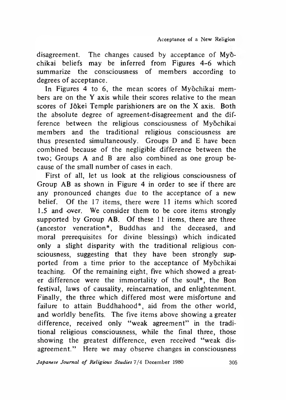disagreement. The changes caused by acceptance of Myochikai beliefs may be inferred from Figures 4-6 which summarize the consciousness of members according to degrees of acceptance.

In Figures 4 to 6, the mean scores of Myochikai members are on the Y axis while their scores relative to the mean scores of Jokei Temple parishioners are on the X axis. Both the absolute degree of agreement-disagreement and the difference between the religious consciousness of Myochikai members and the traditional religious consciousness are thus presented simultaneously. Groups D and E have been combined because of the negligible difference between the two; Groups A and B are also combined as one group because of the small number of cases in each.

First of all, let us look at the religious consciousness of Group AB as shown in Figure 4 in order to see if there are any pronounced changes due to the acceptance of a new belief. Of the 17 items, there were 11 items which scored 1.5 and over. We consider them to be core items strongly supported by Group AB. Of these 11 items, there are three (ancestor veneration\*, Buddhas and the deceased, and moral prerequisites for divine blessings) which indicated only a slight disparity with the traditional religious consciousness, suggesting that they have been strongly supported from a time prior to the acceptance of Myochikai teaching. Of the remaining eight, five which showed a greater difference were the immortality of the soul\*, the Bon festival, laws of causality, reincarnation, and enlightenment. Finally, the three which differed most were misfortune and failure to attain Buddhahood\*, aid from the other world, and worldly benefits. The five items above showing a greater difference, received only "weak agreement" in the traditional religious consciousness, while the final three, those showing the greatest difference, even received "weak disagreement." Here we may observe changes in consciousness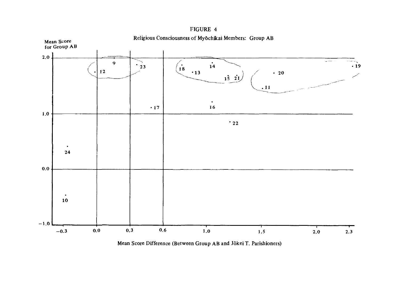

FIGURE 4 Religious Consciousness of Myōchikai Members: Group AB

Mean Score Difference (Between Group AB and Jokei T. Parishioners)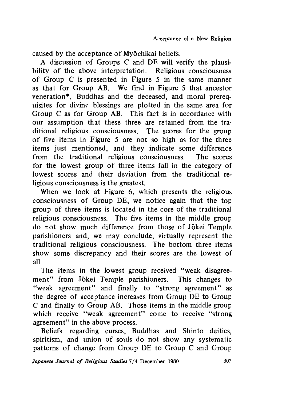caused by the acceptance of Myochikai beliefs.

A discussion of Groups C and DE will verify the plausibility of the above interpretation. Religious consciousness of Group *C* is presented in Figure 5 in the same manner as that for Group AB. We find in Figure 5 that ancestor veneration\*, Buddhas and the deceased, and moral prerequisites for divine blessings are plotted in the same area for Group C as for Group AB. This fact is in accordance with our assumption that these three are retained from the traditional religious consciousness. The scores for the group of five items in Figure 5 are not so high as for the three items just mentioned, and they indicate some difference from the traditional religious consciousness. The scores for the lowest group of three items fall in the category of lowest scores and their deviation from the traditional religious consciousness is the greatest.

When we look at Figure 6, which presents the religious consciousness of Group DE, we notice again that the top group of three items is located in the core of the traditional religious consciousness. The five items in the middle group do not show much difference from those of Jokei Temple parishioners and, we may conclude, virtually represent the traditional religious consciousness. The bottom three items show some discrepancy and their scores are the lowest of all.

The items in the lowest group received "weak disagreement" from Jokei Temple parishioners. This changes to "weak agreement" and finally to "strong agreement" as the degree of acceptance increases from Group DE to Group C and finally to Group AB. Those items in the middle group which receive "weak agreement" come to receive "strong agreement" in the above process.

Beliefs regarding curses, Buddhas and Shinto deities, spiritism, and union of souls do not show any systematic patterns of change from Group DE to Group C and Group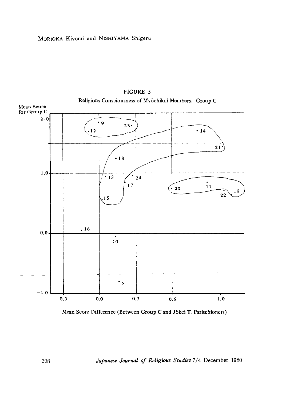

FIGURE 5 Religious Consciousness of Myochikai Members: Group C

Mean Score Difference (Between Group C and Jokei T. Paiischioners)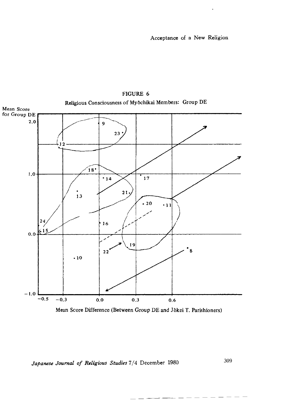

# FIGURE 6 Religious Consciousness of MyOchikai Members: Group DE

Mean Score Difference (Between Group DE and Jokei T. Parishioners)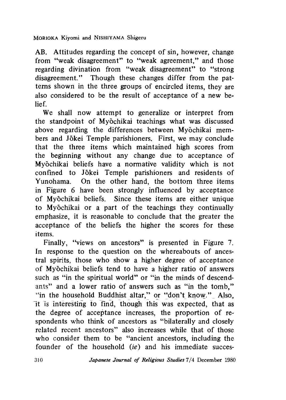MORIOKA Kiyomi and NISHIYAMA Shigeru

AB. Attitudes regarding the concept of sin, however, change from "weak disagreement" to "weak agreement," and those regarding divination from "weak disagreement" to "strong disagreement." Though these changes differ from the patterns shown in the three groups of encircled items, they are also considered to be the result of acceptance of a new belief.

We shall now attempt to generalize or interpret from the standpoint of Myochikai teachings what was discussed above regarding the differences between Myochikai members and Jokei Temple parishioners. First, we may conclude that the three items which maintained high scores from the beginning without any change due to acceptance of Myochikai beliefs have a normative validity which is not confined to Jokei Temple parishioners and residents of Yunohama. On the other hand, the bottom three items in Figure 6 have been strongly influenced by acceptance of Myochikai beliefs. Since these items are either unique to Myochikai or a part of the teachings they continually emphasize, it is reasonable to conclude that the greater the acceptance of the beliefs the higher the scores for these items.

Finally, "views on ancestors" is presented in Figure 7. In response to the question on the whereabouts of ancestral spirits, those who show a higher degree of acceptance of Myochikai beliefs tend to have a higher ratio of answers such as "in the spiritual world" or "in the minds of descendants" and a lower ratio of answers such as "in the tomb," "in the household Buddhist altar," or "don't know." Also, It is interesting to find, though this was expected, that as the degree of acceptance increases, the proportion of respondents who think of ancestors as "bilaterally and closely related recent ancestors" also increases while that of those who consider them to be "ancient ancestors, including the founder of the household *{ie)* and his immediate succes-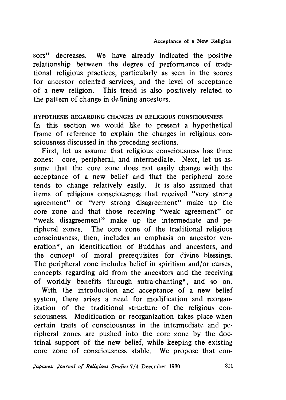sors" decreases. We have already indicated the positive relationship between the degree of performance of traditional religious practices, particularly as seen in the scores for ancestor oriented services, and the level of acceptance of a new religion. This trend is also positively related to the pattern of change in defining ancestors.

#### HYPOTHESIS REGARDING CHANGES IN RELIGIOUS CONSCIOUSNESS

In this section we would like to present a hypothetical frame of reference to explain the changes in religious consciousness discussed in the preceding sections.

First, let us assume that religious consciousness has three zones: core, peripheral, and intermediate. Next, let us assume that the core zone does not easily change with the acceptance of a new belief and that the peripheral zone tends to change relatively easily. It is also assumed that items of religious consciousness that received "very strong agreement" or "very strong disagreement" make up the core zone and that those receiving "weak agreement" or "weak disagreement" make up the intermediate and peripheral zones. The core zone of the traditional religious consciousness, then, includes an emphasis on ancestor veneration\*, an identification of Buddhas and ancestors, and the concept of moral prerequisites for divine blessings. The peripheral zone includes belief in spiritism and/or curses, concepts regarding aid from the ancestors and the receiving of worldly benefits through sutra-chanting\*, and so on.

With the introduction and acceptance of a new belief system, there arises a need for modification and reorganization of the traditional structure of the religious consciousness. Modification or reorganization takes place when certain traits of consciousness in the intermediate and peripheral zones are pushed into the core zone by the doctrinal support of the new belief, while keeping the existing core zone of consciousness stable. We propose that con-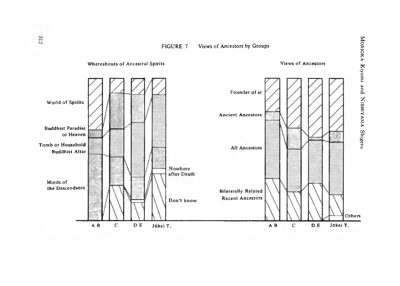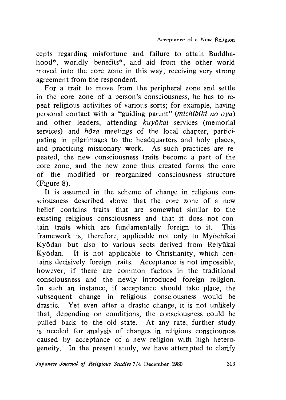cepts regarding misfortune and failure to attain Buddhahood\*, worldly benefits\*, and aid from the other world moved into the core zone in this way, receiving very strong agreement from the respondent.

For a trait to move from the peripheral zone and settle in the core zone of a person's consciousness, he has to repeat religious activities of various sorts; for example, having personal contact with a "guiding parent" *(michibiki no oya)* and other leaders, attending *kuyokai* services (memorial services) and *hdza* meetings of the local chapter, participating in pilgrimages to the headquarters and holy places, and practicing missionary work. As such practices are repeated, the new consciousness traits become a part of the core zone, and the new zone thus created forms the core of the modified or reorganized consciousness structure (Figure 8).

It is assumed in the scheme of change in religious consciousness described above that the core zone of a new belief contains traits that are somewhat similar to the existing religious consciousness and that it does not contain traits which are fundamentally foreign to it. This framework is, therefore, applicable not only to Myochikai Kyodan but also to various sects derived from Reiyukai Kyodan. It is not applicable to Christianity, which contains decisively foreign traits. Acceptance is not impossible, however, if there are common factors in the traditional consciousness and the newly introduced foreign religion. In such an instance, if acceptance should take place, the subsequent change in religious consciousness would be drastic. Yet even after a drastic change, it is not unlikely that, depending on conditions, the consciousness could be pulled back to the old state. At any rate, further study is needed for analysis of changes in religious consciouness caused by acceptance of a new religion with high heterogeneity. In the present study, we have attempted to clarify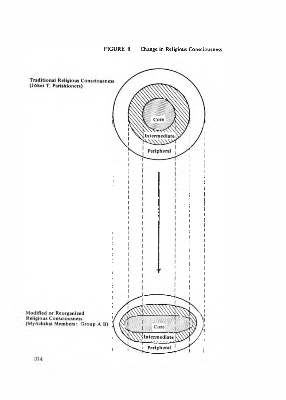

FIGURE 8 Change in Religious Consciousness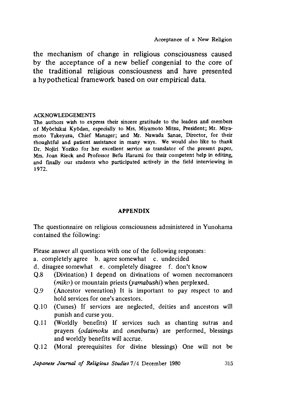the mechanism of change in religious consciousness caused by the acceptance of a new belief congenial to the core of the traditional religious consciousness and have presented a hypothetical framework based on our empirical data.

#### ACKNOWLEDGEMENTS

The authors wish to express their sincere gratitude to the leaders and members of Myochikai KyOdan, especially to Mis. Miyamoto Mitsu, President; Mi. Miyamoto Takeyasu, Chief Manager; and Mi. Nawada Sanae, Director, for their thoughtful and patient assistance in many ways. We would also like to thank Dr. Nojiri Yoriko for her excellent service as translator of the present paper, Mrs. Joan Rieck and Professor Befu Harumi for their competent help in editing, and finally our students who participated actively in the field interviewing in 1972.

## APPENDIX

The questionnaire on religious consciousness administered in Yunohama contained the following:

Please answer all questions with one of the following responses:

- a. completely agree b. agree somewhat c. undecided
- d. disagree somewhat e. completely disagree f. don't know
- Q.8 (Divination) I depend on divinations of women necromancers *(miko)* or mountain priests *(yamabushi)* when perplexed.
- Q.9 (Ancestor veneration) It is important to pay respect to and hold services for one's ancestors.
- Q.10 (Curses) If services are neglected, deities and ancestors will punish and curse you.
- Q.l1 (Worldly benefits) If services such as chanting sutras and prayers *(odaimoku* and *onenbutsu)* are performed, blessings and worldly benefits will accrue.
- Q.12 (Moral prerequisites for divine blessings) One will not be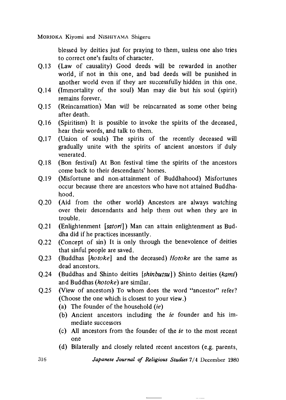MORIOKA Kiyomi and NISHIYAMA Shigeru

blessed by deities just for praying to them, unless one also tries to correct one's faults of character.

- Q.13 (Law of causality) Good deeds will be rewarded in another world, if not in this one, and bad deeds will be punished in another world even if they are successfully hidden in this one.
- Q.l4 (Immortality of the soul) Man may die but his soul (spirit) remains forever.
- Q.15 (Reincarnation) Man will be reincarnated as some other being after death.
- Q.16 (Spiritism) It is possible to invoke the spirits of the deceased, hear their words, and talk to them.
- Q.17 (Union of souls) The spirits of the recently deceased will gradually unite with the spirits of ancient ancestors if duly venerated.
- Q.l8 (Bon festival) At Bon festival time the spirits of the ancestors come back to their descendants' homes.
- Q.l9 (Misfortune and non-attainment of Buddhahood) Misfortunes occur because there are ancestors who have not attained Buddhahood.
- Q.20 (Aid from the other world) Ancestors are always watching over their descendants and help them out when they are in trouble.
- Q.21 (Enlightenment *[satori])* Man can attain enlightenment as Buddha did if he practices incessantly.
- Q.22 (Concept of sin) It is only through the benevolence of deities that sinful people are saved.
- Q.23 (Buddhas *[hotoke]* and the deceased) *Hotoke* are the same as dead ancestors.
- Q,24 (Buddhas and Shinto deities *[shinbutsu])* Shinto deities *(kami)* and Buddhas *(hotoke)* are similar.
- Q.25 (View of ancestors) To whom does the word "ancestor" refer? (Choose the one which is closest to your view.)
	- (a) The founder of the household *(ie)*
	- (b) Ancient ancestors including the *ie* founder and his immediate successors
	- (c) All ancestors from the founder of the *ie* to the most recent one
	- (d) Bilaterally and closely related recent ancestors (e.g. parents,